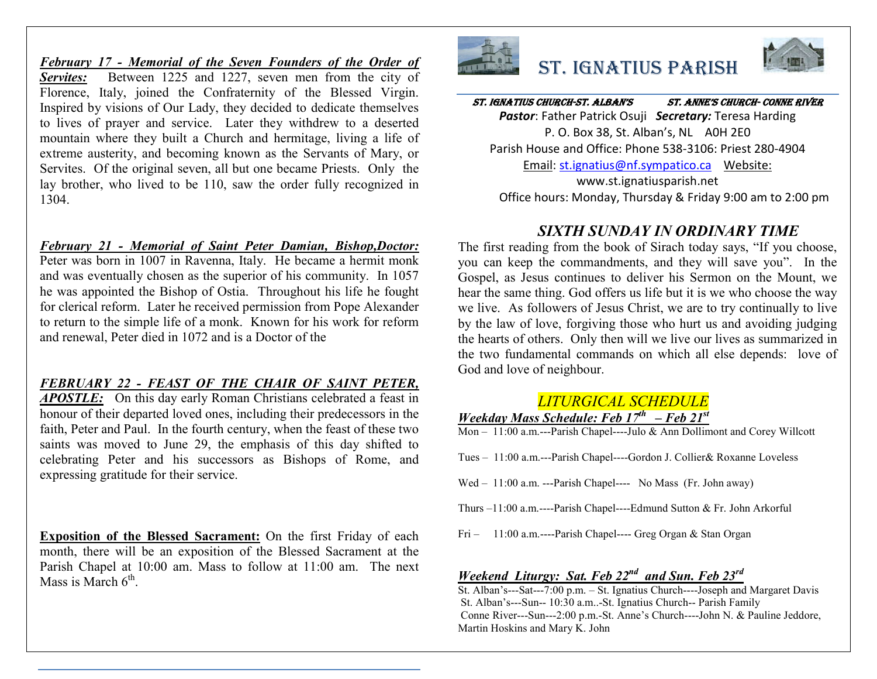*February 17 - Memorial of the Seven Founders of the Order of* 

Between 1225 and 1227, seven men from the city of Florence, Italy, joined the Confraternity of the Blessed Virgin. Inspired by visions of Our Lady, they decided to dedicate themselves to lives of prayer and service. Later they withdrew to a deserted mountain where they built a Church and hermitage, living a life of extreme austerity, and becoming known as the Servants of Mary, or Servites. Of the original seven, all but one became Priests. Only the lay brother, who lived to be 110, saw the order fully recognized in 1304.

#### *February 21 - Memorial of Saint Peter Damian, Bishop,Doctor:*

Peter was born in 1007 in Ravenna, Italy. He became a hermit monk and was eventually chosen as the superior of his community. In 1057 he was appointed the Bishop of Ostia. Throughout his life he fought for clerical reform. Later he received permission from Pope Alexander to return to the simple life of a monk. Known for his work for reform and renewal, Peter died in 1072 and is a Doctor of the

#### *FEBRUARY 22 - FEAST OF THE CHAIR OF SAINT PETER,*

*APOSTLE:* On this day early Roman Christians celebrated a feast in honour of their departed loved ones, including their predecessors in the faith, Peter and Paul. In the fourth century, when the feast of these two saints was moved to June 29, the emphasis of this day shifted to celebrating Peter and his successors as Bishops of Rome, and expressing gratitude for their service.

**Exposition of the Blessed Sacrament:** On the first Friday of each month, there will be an exposition of the Blessed Sacrament at the Parish Chapel at 10:00 am. Mass to follow at 11:00 am. The next Mass is March  $6<sup>th</sup>$ .

# St. IgnatIuS ParISh



St. IgnatIuS ChurCh-St. alban'S St. anne'S ChurCh- Conne rIver *Pastor*: Father Patrick Osuji *Secretary:* Teresa Harding P. O. Box 38, St. Alban's, NL A0H 2E0 Parish House and Office: Phone 538-3106: Priest 280-4904 Email: st.ignatius@nf.sympatico.ca Website: www.st.ignatiusparish.net Office hours: Monday, Thursday & Friday 9:00 am to 2:00 pm

## *SIXTH SUNDAY IN ORDINARY TIME*

The first reading from the book of Sirach today says, "If you choose, you can keep the commandments, and they will save you". In the Gospel, as Jesus continues to deliver his Sermon on the Mount, we hear the same thing. God offers us life but it is we who choose the way we live. As followers of Jesus Christ, we are to try continually to live by the law of love, forgiving those who hurt us and avoiding judging the hearts of others. Only then will we live our lives as summarized in the two fundamental commands on which all else depends: love of God and love of neighbour.

## *LITURGICAL SCHEDULE*

*Weekday Mass Schedule: Feb 17th – Feb 21st*  Mon – 11:00 a.m.---Parish Chapel----Julo & Ann Dollimont and Corey Willcott Tues – 11:00 a.m.---Parish Chapel----Gordon J. Collier& Roxanne Loveless Wed – 11:00 a.m. ---Parish Chapel---- No Mass (Fr. John away) Thurs –11:00 a.m.----Parish Chapel----Edmund Sutton & Fr. John Arkorful Fri – 11:00 a.m.----Parish Chapel---- Greg Organ & Stan Organ

### *Weekend Liturgy: Sat. Feb 22nd and Sun. Feb 23rd*

St. Alban's---Sat---7:00 p.m. – St. Ignatius Church----Joseph and Margaret Davis St. Alban's---Sun-- 10:30 a.m..-St. Ignatius Church-- Parish Family Conne River---Sun---2:00 p.m.-St. Anne's Church----John N. & Pauline Jeddore, Martin Hoskins and Mary K. John